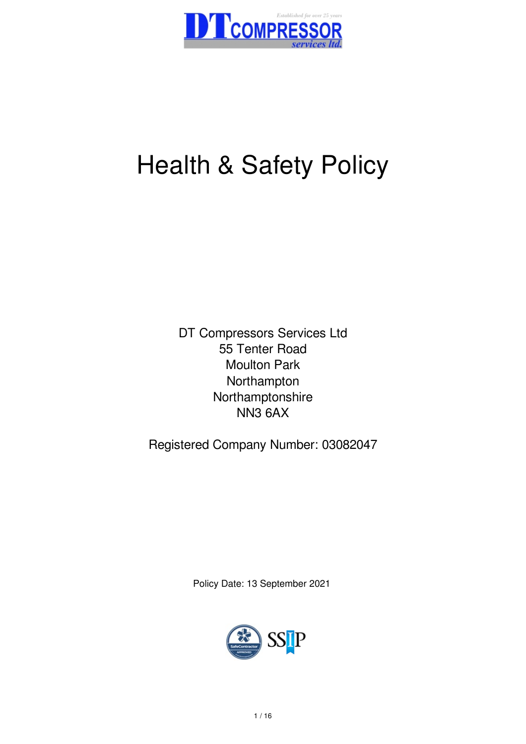

# Health & Safety Policy

DT Compressors Services Ltd 55 Tenter Road Moulton Park Northampton Northamptonshire NN3 6AX

Registered Company Number: 03082047

Policy Date: 13 September 2021

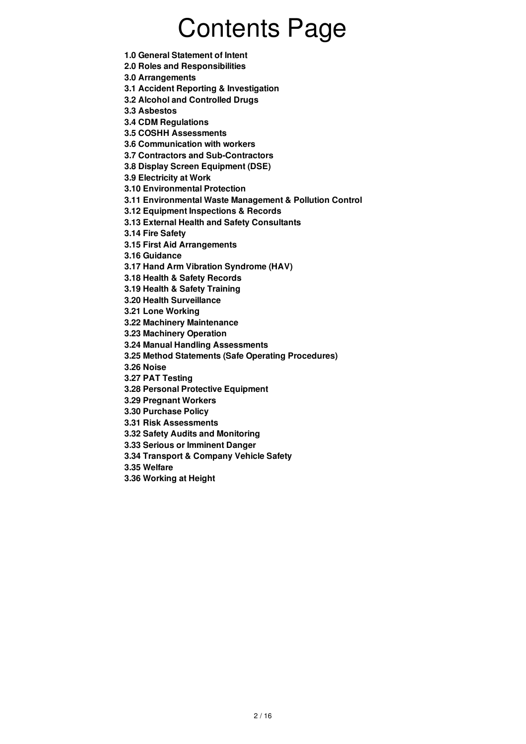# Contents Page

**1.0 General Statement of Intent**

**2.0 Roles and Responsibilities**

**3.0 Arrangements**

**3.1 Accident Reporting & Investigation**

- **3.2 Alcohol and Controlled Drugs**
- **3.3 Asbestos**
- **3.4 CDM Regulations**
- **3.5 COSHH Assessments**
- **3.6 Communication with workers**
- **3.7 Contractors and Sub-Contractors**
- **3.8 Display Screen Equipment (DSE)**

**3.9 Electricity at Work**

**3.10 Environmental Protection**

- **3.11 Environmental Waste Management & Pollution Control**
- **3.12 Equipment Inspections & Records**

**3.13 External Health and Safety Consultants**

**3.14 Fire Safety**

**3.15 First Aid Arrangements**

**3.16 Guidance**

**3.17 Hand Arm Vibration Syndrome (HAV)**

**3.18 Health & Safety Records**

**3.19 Health & Safety Training**

**3.20 Health Surveillance**

**3.21 Lone Working**

- **3.22 Machinery Maintenance**
- **3.23 Machinery Operation**

**3.24 Manual Handling Assessments**

**3.25 Method Statements (Safe Operating Procedures)**

**3.26 Noise**

**3.27 PAT Testing**

- **3.28 Personal Protective Equipment**
- **3.29 Pregnant Workers**

**3.30 Purchase Policy**

**3.31 Risk Assessments**

- **3.32 Safety Audits and Monitoring**
- **3.33 Serious or Imminent Danger**
- **3.34 Transport & Company Vehicle Safety**
- **3.35 Welfare**
- **3.36 Working at Height**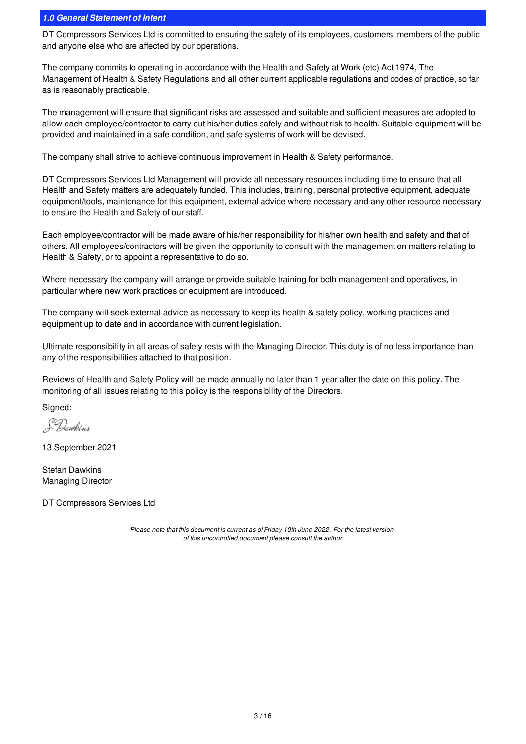# *1.0 General Statement of Intent*

DT Compressors Services Ltd is committed to ensuring the safety of its employees, customers, members of the public and anyone else who are affected by our operations.

The company commits to operating in accordance with the Health and Safety at Work (etc) Act 1974, The Management of Health & Safety Regulations and all other current applicable regulations and codes of practice, so far as is reasonably practicable.

The management will ensure that significant risks are assessed and suitable and sufficient measures are adopted to allow each employee/contractor to carry out his/her duties safely and without risk to health. Suitable equipment will be provided and maintained in a safe condition, and safe systems of work will be devised.

The company shall strive to achieve continuous improvement in Health & Safety performance.

DT Compressors Services Ltd Management will provide all necessary resources including time to ensure that all Health and Safety matters are adequately funded. This includes, training, personal protective equipment, adequate equipment/tools, maintenance for this equipment, external advice where necessary and any other resource necessary to ensure the Health and Safety of our staff.

Each employee/contractor will be made aware of his/her responsibility for his/her own health and safety and that of others. All employees/contractors will be given the opportunity to consult with the management on matters relating to Health & Safety, or to appoint a representative to do so.

Where necessary the company will arrange or provide suitable training for both management and operatives, in particular where new work practices or equipment are introduced.

The company will seek external advice as necessary to keep its health & safety policy, working practices and equipment up to date and in accordance with current legislation.

Ultimate responsibility in all areas of safety rests with the Managing Director. This duty is of no less importance than any of the responsibilities attached to that position.

Reviews of Health and Safety Policy will be made annually no later than 1 year after the date on this policy. The monitoring of all issues relating to this policy is the responsibility of the Directors.

Signed:

S Dawkins

13 September 2021

Stefan Dawkins Managing Director

DT Compressors Services Ltd

*Please note that this document is current as of Friday 10th June 2022 . For the latest version of this uncontrolled document please consult the author*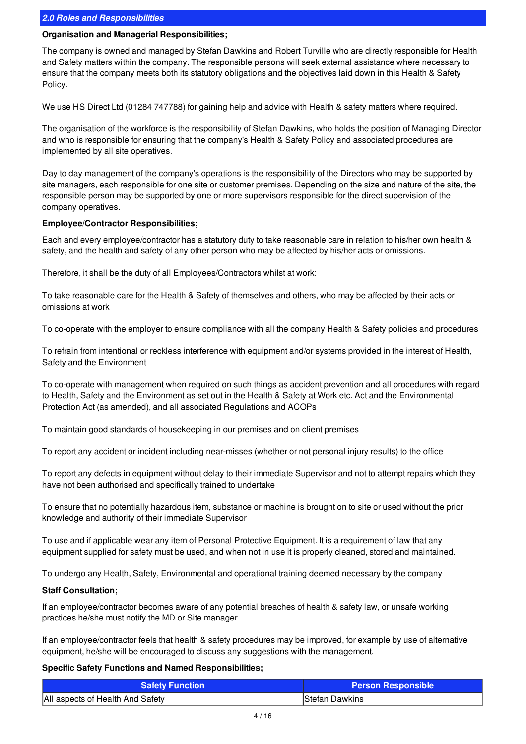# *2.0 Roles and Responsibilities*

#### **Organisation and Managerial Responsibilities;**

The company is owned and managed by Stefan Dawkins and Robert Turville who are directly responsible for Health and Safety matters within the company. The responsible persons will seek external assistance where necessary to ensure that the company meets both its statutory obligations and the objectives laid down in this Health & Safety Policy.

We use HS Direct Ltd (01284 747788) for gaining help and advice with Health & safety matters where required.

The organisation of the workforce is the responsibility of Stefan Dawkins, who holds the position of Managing Director and who is responsible for ensuring that the company's Health & Safety Policy and associated procedures are implemented by all site operatives.

Day to day management of the company's operations is the responsibility of the Directors who may be supported by site managers, each responsible for one site or customer premises. Depending on the size and nature of the site, the responsible person may be supported by one or more supervisors responsible for the direct supervision of the company operatives.

#### **Employee/Contractor Responsibilities;**

Each and every employee/contractor has a statutory duty to take reasonable care in relation to his/her own health & safety, and the health and safety of any other person who may be affected by his/her acts or omissions.

Therefore, it shall be the duty of all Employees/Contractors whilst at work:

To take reasonable care for the Health & Safety of themselves and others, who may be affected by their acts or omissions at work

To co-operate with the employer to ensure compliance with all the company Health & Safety policies and procedures

To refrain from intentional or reckless interference with equipment and/or systems provided in the interest of Health, Safety and the Environment

To co-operate with management when required on such things as accident prevention and all procedures with regard to Health, Safety and the Environment as set out in the Health & Safety at Work etc. Act and the Environmental Protection Act (as amended), and all associated Regulations and ACOPs

To maintain good standards of housekeeping in our premises and on client premises

To report any accident or incident including near-misses (whether or not personal injury results) to the office

To report any defects in equipment without delay to their immediate Supervisor and not to attempt repairs which they have not been authorised and specifically trained to undertake

To ensure that no potentially hazardous item, substance or machine is brought on to site or used without the prior knowledge and authority of their immediate Supervisor

To use and if applicable wear any item of Personal Protective Equipment. It is a requirement of law that any equipment supplied for safety must be used, and when not in use it is properly cleaned, stored and maintained.

To undergo any Health, Safety, Environmental and operational training deemed necessary by the company

#### **Staff Consultation;**

If an employee/contractor becomes aware of any potential breaches of health & safety law, or unsafe working practices he/she must notify the MD or Site manager.

If an employee/contractor feels that health & safety procedures may be improved, for example by use of alternative equipment, he/she will be encouraged to discuss any suggestions with the management.

#### **Specific Safety Functions and Named Responsibilities;**

| <b>Safety Function</b>           | <b>Person Responsible</b> |
|----------------------------------|---------------------------|
| All aspects of Health And Safety | Stefan Dawkins            |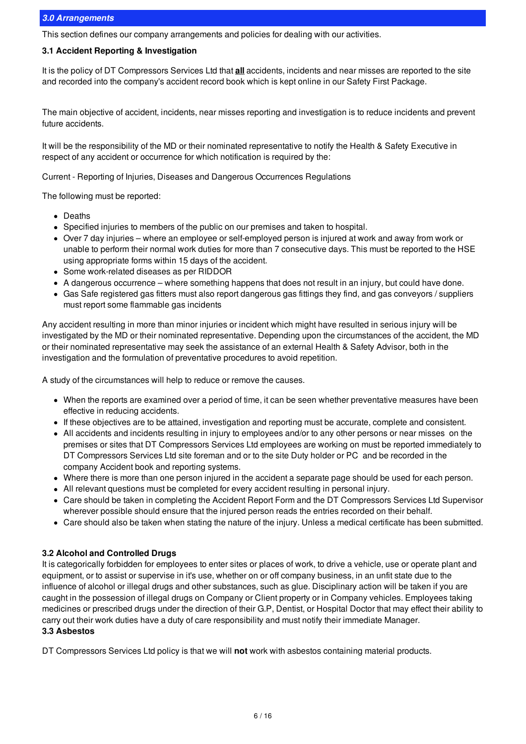#### *3.0 Arrangements*

This section defines our company arrangements and policies for dealing with our activities.

# **3.1 Accident Reporting & Investigation**

It is the policy of DT Compressors Services Ltd that **all** accidents, incidents and near misses are reported to the site and recorded into the company's accident record book which is kept online in our Safety First Package.

The main objective of accident, incidents, near misses reporting and investigation is to reduce incidents and prevent future accidents.

It will be the responsibility of the MD or their nominated representative to notify the Health & Safety Executive in respect of any accident or occurrence for which notification is required by the:

Current - Reporting of Injuries, Diseases and Dangerous Occurrences Regulations

The following must be reported:

- Deaths
- Specified injuries to members of the public on our premises and taken to hospital.
- Over 7 day injuries where an employee or self-employed person is injured at work and away from work or unable to perform their normal work duties for more than 7 consecutive days. This must be reported to the HSE using appropriate forms within 15 days of the accident.
- Some work-related diseases as per RIDDOR
- A dangerous occurrence where something happens that does not result in an injury, but could have done.
- Gas Safe registered gas fitters must also report dangerous gas fittings they find, and gas conveyors / suppliers must report some flammable gas incidents

Any accident resulting in more than minor injuries or incident which might have resulted in serious injury will be investigated by the MD or their nominated representative. Depending upon the circumstances of the accident, the MD or their nominated representative may seek the assistance of an external Health & Safety Advisor, both in the investigation and the formulation of preventative procedures to avoid repetition.

A study of the circumstances will help to reduce or remove the causes.

- When the reports are examined over a period of time, it can be seen whether preventative measures have been effective in reducing accidents.
- If these objectives are to be attained, investigation and reporting must be accurate, complete and consistent.
- All accidents and incidents resulting in injury to employees and/or to any other persons or near misses on the premises or sites that DT Compressors Services Ltd employees are working on must be reported immediately to DT Compressors Services Ltd site foreman and or to the site Duty holder or PC and be recorded in the company Accident book and reporting systems.
- Where there is more than one person injured in the accident a separate page should be used for each person.
- All relevant questions must be completed for every accident resulting in personal injury.
- Care should be taken in completing the Accident Report Form and the DT Compressors Services Ltd Supervisor wherever possible should ensure that the injured person reads the entries recorded on their behalf.
- Care should also be taken when stating the nature of the injury. Unless a medical certificate has been submitted.

# **3.2 Alcohol and Controlled Drugs**

It is categorically forbidden for employees to enter sites or places of work, to drive a vehicle, use or operate plant and equipment, or to assist or supervise in it's use, whether on or off company business, in an unfit state due to the influence of alcohol or illegal drugs and other substances, such as glue. Disciplinary action will be taken if you are caught in the possession of illegal drugs on Company or Client property or in Company vehicles. Employees taking medicines or prescribed drugs under the direction of their G.P, Dentist, or Hospital Doctor that may effect their ability to carry out their work duties have a duty of care responsibility and must notify their immediate Manager.

#### **3.3 Asbestos**

DT Compressors Services Ltd policy is that we will **not** work with asbestos containing material products.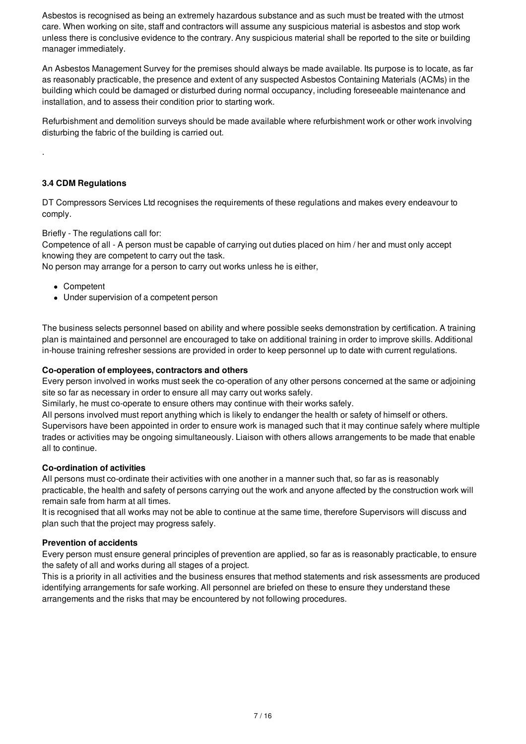Asbestos is recognised as being an extremely hazardous substance and as such must be treated with the utmost care. When working on site, staff and contractors will assume any suspicious material is asbestos and stop work unless there is conclusive evidence to the contrary. Any suspicious material shall be reported to the site or building manager immediately.

An Asbestos Management Survey for the premises should always be made available. Its purpose is to locate, as far as reasonably practicable, the presence and extent of any suspected Asbestos Containing Materials (ACMs) in the building which could be damaged or disturbed during normal occupancy, including foreseeable maintenance and installation, and to assess their condition prior to starting work.

Refurbishment and demolition surveys should be made available where refurbishment work or other work involving disturbing the fabric of the building is carried out.

### **3.4 CDM Regulations**

.

DT Compressors Services Ltd recognises the requirements of these regulations and makes every endeavour to comply.

Briefly - The regulations call for:

Competence of all - A person must be capable of carrying out duties placed on him / her and must only accept knowing they are competent to carry out the task.

No person may arrange for a person to carry out works unless he is either,

- Competent
- Under supervision of a competent person

The business selects personnel based on ability and where possible seeks demonstration by certification. A training plan is maintained and personnel are encouraged to take on additional training in order to improve skills. Additional in-house training refresher sessions are provided in order to keep personnel up to date with current regulations.

#### **Co-operation of employees, contractors and others**

Every person involved in works must seek the co-operation of any other persons concerned at the same or adjoining site so far as necessary in order to ensure all may carry out works safely.

Similarly, he must co-operate to ensure others may continue with their works safely.

All persons involved must report anything which is likely to endanger the health or safety of himself or others. Supervisors have been appointed in order to ensure work is managed such that it may continue safely where multiple trades or activities may be ongoing simultaneously. Liaison with others allows arrangements to be made that enable all to continue.

#### **Co-ordination of activities**

All persons must co-ordinate their activities with one another in a manner such that, so far as is reasonably practicable, the health and safety of persons carrying out the work and anyone affected by the construction work will remain safe from harm at all times.

It is recognised that all works may not be able to continue at the same time, therefore Supervisors will discuss and plan such that the project may progress safely.

#### **Prevention of accidents**

Every person must ensure general principles of prevention are applied, so far as is reasonably practicable, to ensure the safety of all and works during all stages of a project.

This is a priority in all activities and the business ensures that method statements and risk assessments are produced identifying arrangements for safe working. All personnel are briefed on these to ensure they understand these arrangements and the risks that may be encountered by not following procedures.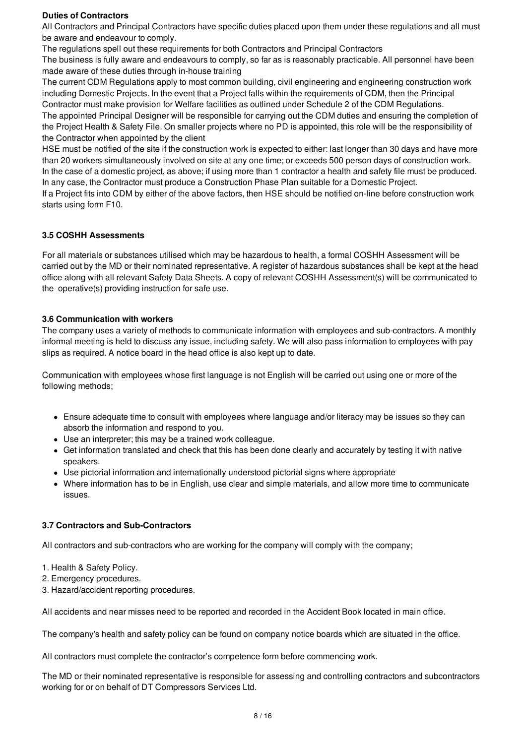#### **Duties of Contractors**

All Contractors and Principal Contractors have specific duties placed upon them under these regulations and all must be aware and endeavour to comply.

The regulations spell out these requirements for both Contractors and Principal Contractors

The business is fully aware and endeavours to comply, so far as is reasonably practicable. All personnel have been made aware of these duties through in-house training

The current CDM Regulations apply to most common building, civil engineering and engineering construction work including Domestic Projects. In the event that a Project falls within the requirements of CDM, then the Principal Contractor must make provision for Welfare facilities as outlined under Schedule 2 of the CDM Regulations. The appointed Principal Designer will be responsible for carrying out the CDM duties and ensuring the completion of

the Project Health & Safety File. On smaller projects where no PD is appointed, this role will be the responsibility of the Contractor when appointed by the client

HSE must be notified of the site if the construction work is expected to either: last longer than 30 days and have more than 20 workers simultaneously involved on site at any one time; or exceeds 500 person days of construction work. In the case of a domestic project, as above; if using more than 1 contractor a health and safety file must be produced. In any case, the Contractor must produce a Construction Phase Plan suitable for a Domestic Project.

If a Project fits into CDM by either of the above factors, then HSE should be notified on-line before construction work starts using form F10.

# **3.5 COSHH Assessments**

For all materials or substances utilised which may be hazardous to health, a formal COSHH Assessment will be carried out by the MD or their nominated representative. A register of hazardous substances shall be kept at the head office along with all relevant Safety Data Sheets. A copy of relevant COSHH Assessment(s) will be communicated to the operative(s) providing instruction for safe use.

#### **3.6 Communication with workers**

The company uses a variety of methods to communicate information with employees and sub-contractors. A monthly informal meeting is held to discuss any issue, including safety. We will also pass information to employees with pay slips as required. A notice board in the head office is also kept up to date.

Communication with employees whose first language is not English will be carried out using one or more of the following methods;

- Ensure adequate time to consult with employees where language and/or literacy may be issues so they can absorb the information and respond to you.
- Use an interpreter; this may be a trained work colleague.
- Get information translated and check that this has been done clearly and accurately by testing it with native speakers.
- Use pictorial information and internationally understood pictorial signs where appropriate
- Where information has to be in English, use clear and simple materials, and allow more time to communicate issues.

# **3.7 Contractors and Sub-Contractors**

All contractors and sub-contractors who are working for the company will comply with the company;

- 1. Health & Safety Policy.
- 2. Emergency procedures.
- 3. Hazard/accident reporting procedures.

All accidents and near misses need to be reported and recorded in the Accident Book located in main office.

The company's health and safety policy can be found on company notice boards which are situated in the office.

All contractors must complete the contractor's competence form before commencing work.

The MD or their nominated representative is responsible for assessing and controlling contractors and subcontractors working for or on behalf of DT Compressors Services Ltd.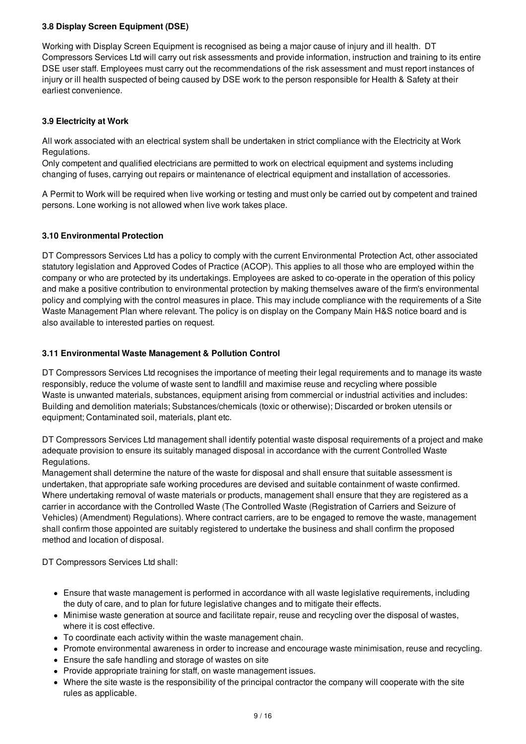# **3.8 Display Screen Equipment (DSE)**

Working with Display Screen Equipment is recognised as being a major cause of injury and ill health. DT Compressors Services Ltd will carry out risk assessments and provide information, instruction and training to its entire DSE user staff. Employees must carry out the recommendations of the risk assessment and must report instances of injury or ill health suspected of being caused by DSE work to the person responsible for Health & Safety at their earliest convenience.

# **3.9 Electricity at Work**

All work associated with an electrical system shall be undertaken in strict compliance with the Electricity at Work Regulations.

Only competent and qualified electricians are permitted to work on electrical equipment and systems including changing of fuses, carrying out repairs or maintenance of electrical equipment and installation of accessories.

A Permit to Work will be required when live working or testing and must only be carried out by competent and trained persons. Lone working is not allowed when live work takes place.

# **3.10 Environmental Protection**

DT Compressors Services Ltd has a policy to comply with the current Environmental Protection Act, other associated statutory legislation and Approved Codes of Practice (ACOP). This applies to all those who are employed within the company or who are protected by its undertakings. Employees are asked to co-operate in the operation of this policy and make a positive contribution to environmental protection by making themselves aware of the firm's environmental policy and complying with the control measures in place. This may include compliance with the requirements of a Site Waste Management Plan where relevant. The policy is on display on the Company Main H&S notice board and is also available to interested parties on request.

# **3.11 Environmental Waste Management & Pollution Control**

DT Compressors Services Ltd recognises the importance of meeting their legal requirements and to manage its waste responsibly, reduce the volume of waste sent to landfill and maximise reuse and recycling where possible Waste is unwanted materials, substances, equipment arising from commercial or industrial activities and includes: Building and demolition materials; Substances/chemicals (toxic or otherwise); Discarded or broken utensils or equipment; Contaminated soil, materials, plant etc.

DT Compressors Services Ltd management shall identify potential waste disposal requirements of a project and make adequate provision to ensure its suitably managed disposal in accordance with the current Controlled Waste Regulations.

Management shall determine the nature of the waste for disposal and shall ensure that suitable assessment is undertaken, that appropriate safe working procedures are devised and suitable containment of waste confirmed. Where undertaking removal of waste materials or products, management shall ensure that they are registered as a carrier in accordance with the Controlled Waste (The Controlled Waste (Registration of Carriers and Seizure of Vehicles) (Amendment) Regulations). Where contract carriers, are to be engaged to remove the waste, management shall confirm those appointed are suitably registered to undertake the business and shall confirm the proposed method and location of disposal.

DT Compressors Services Ltd shall:

- Ensure that waste management is performed in accordance with all waste legislative requirements, including the duty of care, and to plan for future legislative changes and to mitigate their effects.
- Minimise waste generation at source and facilitate repair, reuse and recycling over the disposal of wastes, where it is cost effective.
- To coordinate each activity within the waste management chain.
- Promote environmental awareness in order to increase and encourage waste minimisation, reuse and recycling.
- Ensure the safe handling and storage of wastes on site
- Provide appropriate training for staff, on waste management issues.
- Where the site waste is the responsibility of the principal contractor the company will cooperate with the site rules as applicable.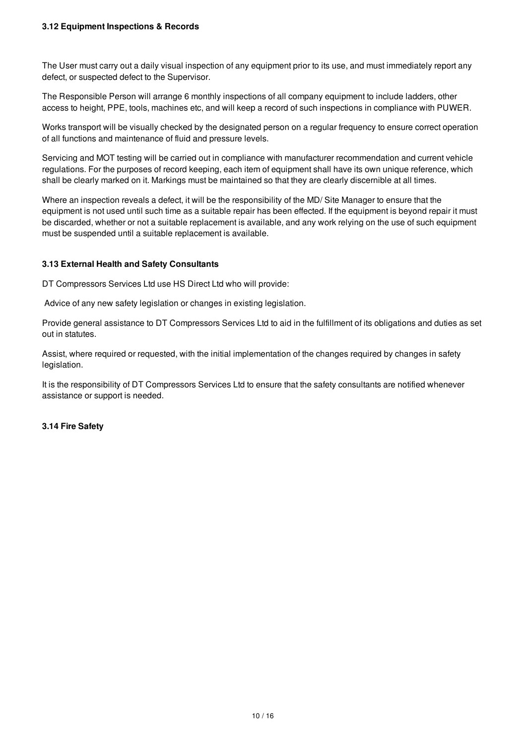The User must carry out a daily visual inspection of any equipment prior to its use, and must immediately report any defect, or suspected defect to the Supervisor.

The Responsible Person will arrange 6 monthly inspections of all company equipment to include ladders, other access to height, PPE, tools, machines etc, and will keep a record of such inspections in compliance with PUWER.

Works transport will be visually checked by the designated person on a regular frequency to ensure correct operation of all functions and maintenance of fluid and pressure levels.

Servicing and MOT testing will be carried out in compliance with manufacturer recommendation and current vehicle regulations. For the purposes of record keeping, each item of equipment shall have its own unique reference, which shall be clearly marked on it. Markings must be maintained so that they are clearly discernible at all times.

Where an inspection reveals a defect, it will be the responsibility of the MD/ Site Manager to ensure that the equipment is not used until such time as a suitable repair has been effected. If the equipment is beyond repair it must be discarded, whether or not a suitable replacement is available, and any work relying on the use of such equipment must be suspended until a suitable replacement is available.

# **3.13 External Health and Safety Consultants**

DT Compressors Services Ltd use HS Direct Ltd who will provide:

Advice of any new safety legislation or changes in existing legislation.

Provide general assistance to DT Compressors Services Ltd to aid in the fulfillment of its obligations and duties as set out in statutes.

Assist, where required or requested, with the initial implementation of the changes required by changes in safety legislation.

It is the responsibility of DT Compressors Services Ltd to ensure that the safety consultants are notified whenever assistance or support is needed.

# **3.14 Fire Safety**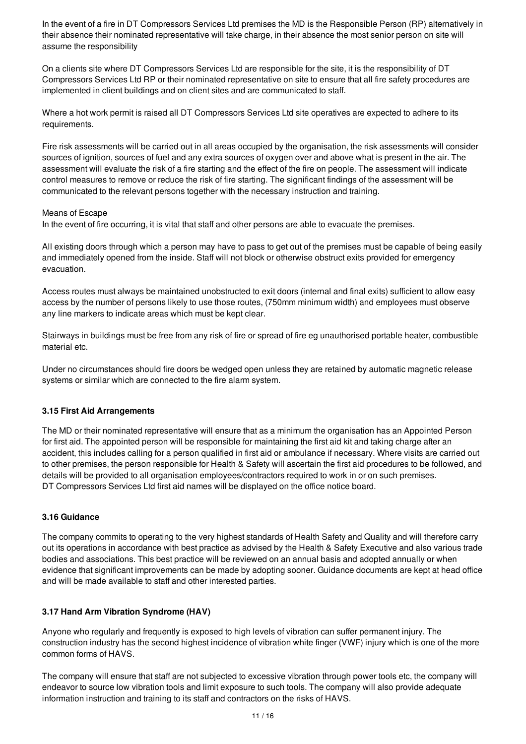In the event of a fire in DT Compressors Services Ltd premises the MD is the Responsible Person (RP) alternatively in their absence their nominated representative will take charge, in their absence the most senior person on site will assume the responsibility

On a clients site where DT Compressors Services Ltd are responsible for the site, it is the responsibility of DT Compressors Services Ltd RP or their nominated representative on site to ensure that all fire safety procedures are implemented in client buildings and on client sites and are communicated to staff.

Where a hot work permit is raised all DT Compressors Services Ltd site operatives are expected to adhere to its requirements.

Fire risk assessments will be carried out in all areas occupied by the organisation, the risk assessments will consider sources of ignition, sources of fuel and any extra sources of oxygen over and above what is present in the air. The assessment will evaluate the risk of a fire starting and the effect of the fire on people. The assessment will indicate control measures to remove or reduce the risk of fire starting. The significant findings of the assessment will be communicated to the relevant persons together with the necessary instruction and training.

#### Means of Escape

In the event of fire occurring, it is vital that staff and other persons are able to evacuate the premises.

All existing doors through which a person may have to pass to get out of the premises must be capable of being easily and immediately opened from the inside. Staff will not block or otherwise obstruct exits provided for emergency evacuation.

Access routes must always be maintained unobstructed to exit doors (internal and final exits) sufficient to allow easy access by the number of persons likely to use those routes, (750mm minimum width) and employees must observe any line markers to indicate areas which must be kept clear.

Stairways in buildings must be free from any risk of fire or spread of fire eg unauthorised portable heater, combustible material etc.

Under no circumstances should fire doors be wedged open unless they are retained by automatic magnetic release systems or similar which are connected to the fire alarm system.

# **3.15 First Aid Arrangements**

The MD or their nominated representative will ensure that as a minimum the organisation has an Appointed Person for first aid. The appointed person will be responsible for maintaining the first aid kit and taking charge after an accident, this includes calling for a person qualified in first aid or ambulance if necessary. Where visits are carried out to other premises, the person responsible for Health & Safety will ascertain the first aid procedures to be followed, and details will be provided to all organisation employees/contractors required to work in or on such premises. DT Compressors Services Ltd first aid names will be displayed on the office notice board.

# **3.16 Guidance**

The company commits to operating to the very highest standards of Health Safety and Quality and will therefore carry out its operations in accordance with best practice as advised by the Health & Safety Executive and also various trade bodies and associations. This best practice will be reviewed on an annual basis and adopted annually or when evidence that significant improvements can be made by adopting sooner. Guidance documents are kept at head office and will be made available to staff and other interested parties.

# **3.17 Hand Arm Vibration Syndrome (HAV)**

Anyone who regularly and frequently is exposed to high levels of vibration can suffer permanent injury. The construction industry has the second highest incidence of vibration white finger (VWF) injury which is one of the more common forms of HAVS.

The company will ensure that staff are not subjected to excessive vibration through power tools etc, the company will endeavor to source low vibration tools and limit exposure to such tools. The company will also provide adequate information instruction and training to its staff and contractors on the risks of HAVS.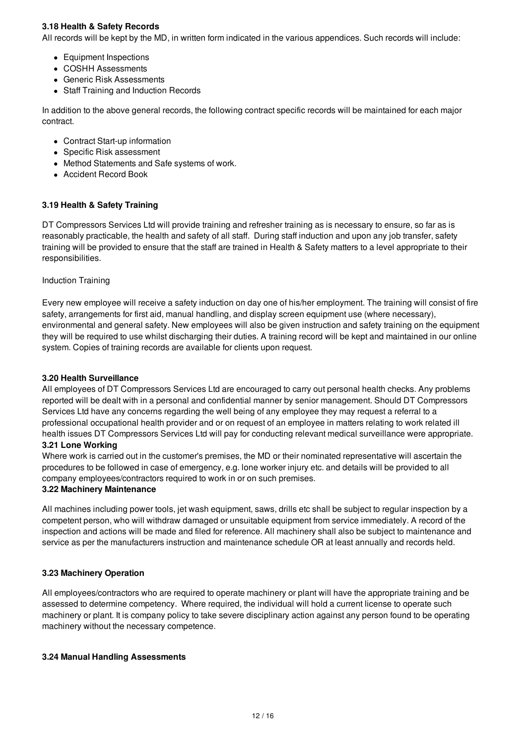# **3.18 Health & Safety Records**

All records will be kept by the MD, in written form indicated in the various appendices. Such records will include:

- Equipment Inspections
- COSHH Assessments
- Generic Risk Assessments
- Staff Training and Induction Records

In addition to the above general records, the following contract specific records will be maintained for each major contract.

- Contract Start-up information
- Specific Risk assessment
- Method Statements and Safe systems of work.
- Accident Record Book

#### **3.19 Health & Safety Training**

DT Compressors Services Ltd will provide training and refresher training as is necessary to ensure, so far as is reasonably practicable, the health and safety of all staff. During staff induction and upon any job transfer, safety training will be provided to ensure that the staff are trained in Health & Safety matters to a level appropriate to their responsibilities.

#### Induction Training

Every new employee will receive a safety induction on day one of his/her employment. The training will consist of fire safety, arrangements for first aid, manual handling, and display screen equipment use (where necessary), environmental and general safety. New employees will also be given instruction and safety training on the equipment they will be required to use whilst discharging their duties. A training record will be kept and maintained in our online system. Copies of training records are available for clients upon request.

#### **3.20 Health Surveillance**

All employees of DT Compressors Services Ltd are encouraged to carry out personal health checks. Any problems reported will be dealt with in a personal and confidential manner by senior management. Should DT Compressors Services Ltd have any concerns regarding the well being of any employee they may request a referral to a professional occupational health provider and or on request of an employee in matters relating to work related ill health issues DT Compressors Services Ltd will pay for conducting relevant medical surveillance were appropriate.

# **3.21 Lone Working**

Where work is carried out in the customer's premises, the MD or their nominated representative will ascertain the procedures to be followed in case of emergency, e.g. lone worker injury etc. and details will be provided to all company employees/contractors required to work in or on such premises.

#### **3.22 Machinery Maintenance**

All machines including power tools, jet wash equipment, saws, drills etc shall be subject to regular inspection by a competent person, who will withdraw damaged or unsuitable equipment from service immediately. A record of the inspection and actions will be made and filed for reference. All machinery shall also be subject to maintenance and service as per the manufacturers instruction and maintenance schedule OR at least annually and records held.

#### **3.23 Machinery Operation**

All employees/contractors who are required to operate machinery or plant will have the appropriate training and be assessed to determine competency. Where required, the individual will hold a current license to operate such machinery or plant. It is company policy to take severe disciplinary action against any person found to be operating machinery without the necessary competence.

#### **3.24 Manual Handling Assessments**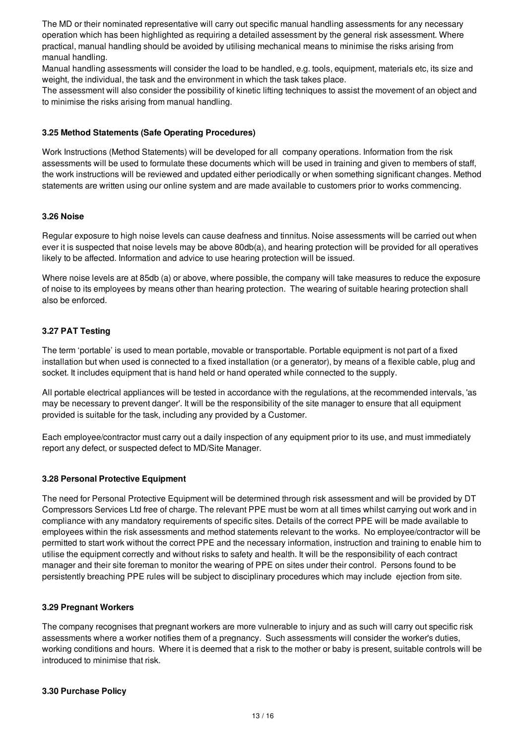The MD or their nominated representative will carry out specific manual handling assessments for any necessary operation which has been highlighted as requiring a detailed assessment by the general risk assessment. Where practical, manual handling should be avoided by utilising mechanical means to minimise the risks arising from manual handling.

Manual handling assessments will consider the load to be handled, e.g. tools, equipment, materials etc, its size and weight, the individual, the task and the environment in which the task takes place.

The assessment will also consider the possibility of kinetic lifting techniques to assist the movement of an object and to minimise the risks arising from manual handling.

#### **3.25 Method Statements (Safe Operating Procedures)**

Work Instructions (Method Statements) will be developed for all company operations. Information from the risk assessments will be used to formulate these documents which will be used in training and given to members of staff, the work instructions will be reviewed and updated either periodically or when something significant changes. Method statements are written using our online system and are made available to customers prior to works commencing.

#### **3.26 Noise**

Regular exposure to high noise levels can cause deafness and tinnitus. Noise assessments will be carried out when ever it is suspected that noise levels may be above 80db(a), and hearing protection will be provided for all operatives likely to be affected. Information and advice to use hearing protection will be issued.

Where noise levels are at 85db (a) or above, where possible, the company will take measures to reduce the exposure of noise to its employees by means other than hearing protection. The wearing of suitable hearing protection shall also be enforced.

# **3.27 PAT Testing**

The term 'portable' is used to mean portable, movable or transportable. Portable equipment is not part of a fixed installation but when used is connected to a fixed installation (or a generator), by means of a flexible cable, plug and socket. It includes equipment that is hand held or hand operated while connected to the supply.

All portable electrical appliances will be tested in accordance with the regulations, at the recommended intervals, 'as may be necessary to prevent danger'. It will be the responsibility of the site manager to ensure that all equipment provided is suitable for the task, including any provided by a Customer.

Each employee/contractor must carry out a daily inspection of any equipment prior to its use, and must immediately report any defect, or suspected defect to MD/Site Manager.

#### **3.28 Personal Protective Equipment**

The need for Personal Protective Equipment will be determined through risk assessment and will be provided by DT Compressors Services Ltd free of charge. The relevant PPE must be worn at all times whilst carrying out work and in compliance with any mandatory requirements of specific sites. Details of the correct PPE will be made available to employees within the risk assessments and method statements relevant to the works. No employee/contractor will be permitted to start work without the correct PPE and the necessary information, instruction and training to enable him to utilise the equipment correctly and without risks to safety and health. It will be the responsibility of each contract manager and their site foreman to monitor the wearing of PPE on sites under their control. Persons found to be persistently breaching PPE rules will be subject to disciplinary procedures which may include ejection from site.

# **3.29 Pregnant Workers**

The company recognises that pregnant workers are more vulnerable to injury and as such will carry out specific risk assessments where a worker notifies them of a pregnancy. Such assessments will consider the worker's duties, working conditions and hours. Where it is deemed that a risk to the mother or baby is present, suitable controls will be introduced to minimise that risk.

#### **3.30 Purchase Policy**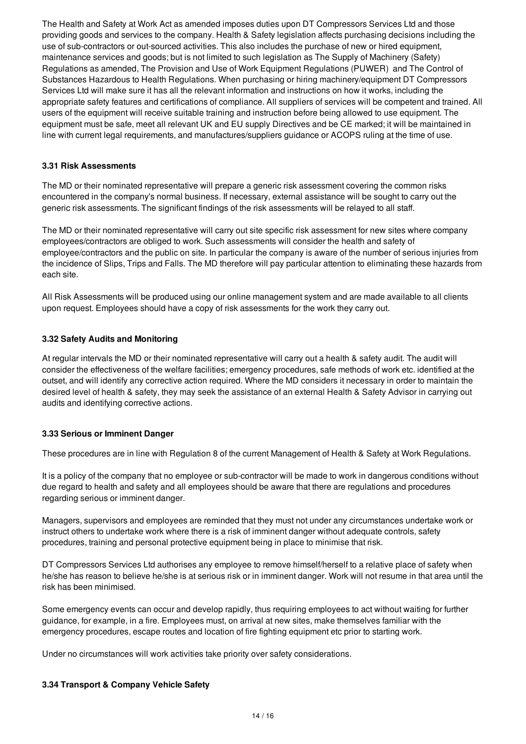The Health and Safety at Work Act as amended imposes duties upon DT Compressors Services Ltd and those providing goods and services to the company. Health & Safety legislation affects purchasing decisions including the use of sub-contractors or out-sourced activities. This also includes the purchase of new or hired equipment, maintenance services and goods; but is not limited to such legislation as The Supply of Machinery (Safety) Regulations as amended, The Provision and Use of Work Equipment Regulations (PUWER) and The Control of Substances Hazardous to Health Regulations. When purchasing or hiring machinery/equipment DT Compressors Services Ltd will make sure it has all the relevant information and instructions on how it works, including the appropriate safety features and certifications of compliance. All suppliers of services will be competent and trained. All users of the equipment will receive suitable training and instruction before being allowed to use equipment. The equipment must be safe, meet all relevant UK and EU supply Directives and be CE marked; it will be maintained in line with current legal requirements, and manufactures/suppliers guidance or ACOPS ruling at the time of use.

# **3.31 Risk Assessments**

The MD or their nominated representative will prepare a generic risk assessment covering the common risks encountered in the company's normal business. If necessary, external assistance will be sought to carry out the generic risk assessments. The significant findings of the risk assessments will be relayed to all staff.

The MD or their nominated representative will carry out site specific risk assessment for new sites where company employees/contractors are obliged to work. Such assessments will consider the health and safety of employee/contractors and the public on site. In particular the company is aware of the number of serious injuries from the incidence of Slips, Trips and Falls. The MD therefore will pay particular attention to eliminating these hazards from each site.

All Risk Assessments will be produced using our online management system and are made available to all clients upon request. Employees should have a copy of risk assessments for the work they carry out.

#### **3.32 Safety Audits and Monitoring**

At regular intervals the MD or their nominated representative will carry out a health & safety audit. The audit will consider the effectiveness of the welfare facilities; emergency procedures, safe methods of work etc. identified at the outset, and will identify any corrective action required. Where the MD considers it necessary in order to maintain the desired level of health & safety, they may seek the assistance of an external Health & Safety Advisor in carrying out audits and identifying corrective actions.

# **3.33 Serious or Imminent Danger**

These procedures are in line with Regulation 8 of the current Management of Health & Safety at Work Regulations.

It is a policy of the company that no employee or sub-contractor will be made to work in dangerous conditions without due regard to health and safety and all employees should be aware that there are regulations and procedures regarding serious or imminent danger.

Managers, supervisors and employees are reminded that they must not under any circumstances undertake work or instruct others to undertake work where there is a risk of imminent danger without adequate controls, safety procedures, training and personal protective equipment being in place to minimise that risk.

DT Compressors Services Ltd authorises any employee to remove himself/herself to a relative place of safety when he/she has reason to believe he/she is at serious risk or in imminent danger. Work will not resume in that area until the risk has been minimised.

Some emergency events can occur and develop rapidly, thus requiring employees to act without waiting for further guidance, for example, in a fire. Employees must, on arrival at new sites, make themselves familiar with the emergency procedures, escape routes and location of fire fighting equipment etc prior to starting work.

Under no circumstances will work activities take priority over safety considerations.

# **3.34 Transport & Company Vehicle Safety**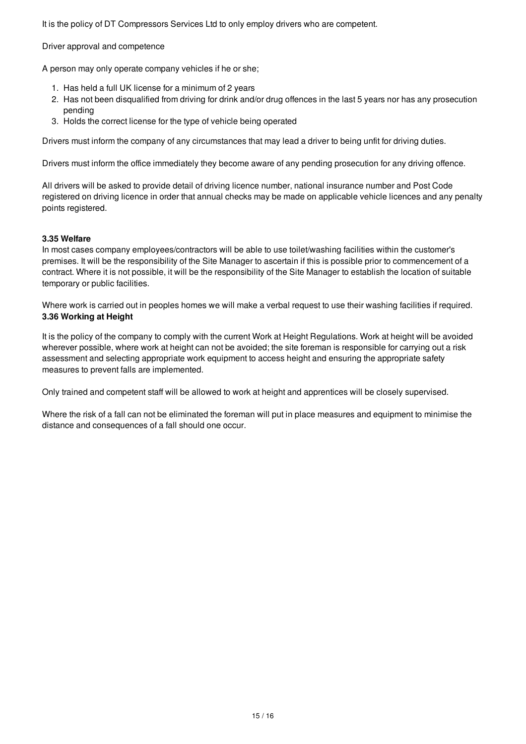It is the policy of DT Compressors Services Ltd to only employ drivers who are competent.

Driver approval and competence

A person may only operate company vehicles if he or she;

- 1. Has held a full UK license for a minimum of 2 years
- 2. Has not been disqualified from driving for drink and/or drug offences in the last 5 years nor has any prosecution pending
- 3. Holds the correct license for the type of vehicle being operated

Drivers must inform the company of any circumstances that may lead a driver to being unfit for driving duties.

Drivers must inform the office immediately they become aware of any pending prosecution for any driving offence.

All drivers will be asked to provide detail of driving licence number, national insurance number and Post Code registered on driving licence in order that annual checks may be made on applicable vehicle licences and any penalty points registered.

#### **3.35 Welfare**

In most cases company employees/contractors will be able to use toilet/washing facilities within the customer's premises. It will be the responsibility of the Site Manager to ascertain if this is possible prior to commencement of a contract. Where it is not possible, it will be the responsibility of the Site Manager to establish the location of suitable temporary or public facilities.

Where work is carried out in peoples homes we will make a verbal request to use their washing facilities if required. **3.36 Working at Height**

It is the policy of the company to comply with the current Work at Height Regulations. Work at height will be avoided wherever possible, where work at height can not be avoided; the site foreman is responsible for carrying out a risk assessment and selecting appropriate work equipment to access height and ensuring the appropriate safety measures to prevent falls are implemented.

Only trained and competent staff will be allowed to work at height and apprentices will be closely supervised.

Where the risk of a fall can not be eliminated the foreman will put in place measures and equipment to minimise the distance and consequences of a fall should one occur.